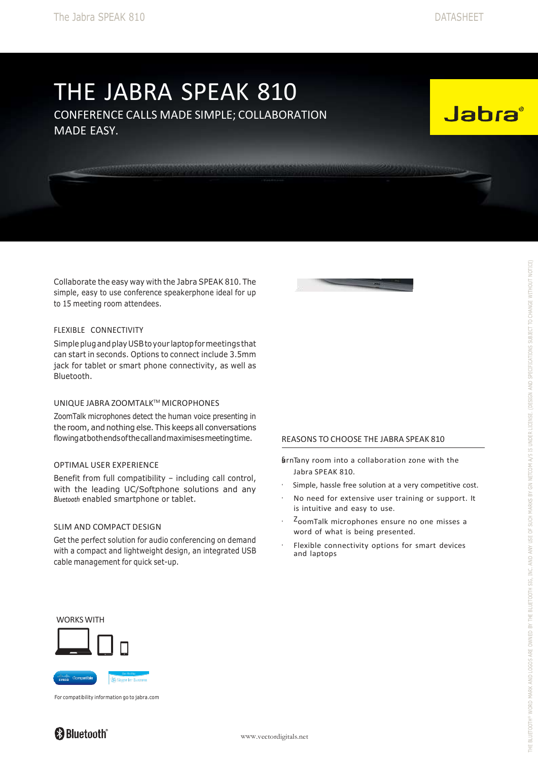# THE JABRA SPEAK 810

CONFERENCE CALLS MADE SIMPLE; COLLABORATION MADE EASY.

<u>e a provincia de estacama</u>

**Jabra** 

Collaborate the easy way with the Jabra SPEAK 810. The simple, easy to use conference speakerphone ideal for up to 15 meeting room attendees.

## FLEXIBLE CONNECTIVITY

Simpleplugandplay USBtoyour laptopformeetings that can start in seconds. Options to connect include 3.5mm jack for tablet or smart phone connectivity, as well as Bluetooth.

# UNIQUE JABRA ZOOMTALK™ MICROPHONES

ZoomTalk microphones detect the human voice presenting in the room, and nothing else. This keeps all conversations flowingatbothendsofthecallandmaximisesmeetingtime.

## OPTIMAL USER EXPERIENCE

Benefit from full compatibility – including call control, with the leading UC/Softphone solutions and any *Bluetooth* enabled smartphone or tablet.

#### SLIM AND COMPACT DESIGN

Get the perfect solution for audio conferencing on demand with a compact and lightweight design, an integrated USB cable management for quick set-up.



**WILL WAS ALL OF STATISTICS** 

# REASONS TO CHOOSE THE JABRA SPEAK 810

§urnTany room into a collaboration zone with the Jabra SPEAK 810.

- Simple, hassle free solution at a very competitive cost.
- No need for extensive user training or support. It is intuitive and easy to use.
- ZoomTalk microphones ensure no one misses a word of what is being presented.
- Flexible connectivity options for smart devices and laptops

#### WORKS WITH



For compatibility information go to jabra.com

# **& Bluetooth®**